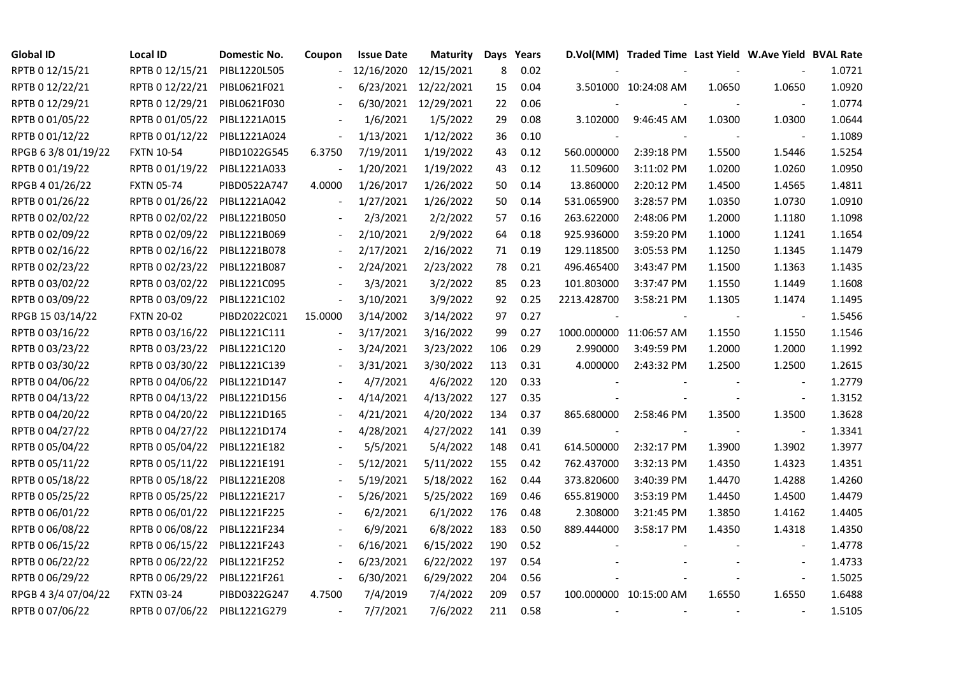| <b>Global ID</b>    | <b>Local ID</b>   | Domestic No. | Coupon  | <b>Issue Date</b> | <b>Maturity</b> |     | Days Years |             | D.Vol(MM) Traded Time Last Yield W.Ave Yield BVAL Rate |        |                          |        |
|---------------------|-------------------|--------------|---------|-------------------|-----------------|-----|------------|-------------|--------------------------------------------------------|--------|--------------------------|--------|
| RPTB 0 12/15/21     | RPTB 0 12/15/21   | PIBL1220L505 |         | 12/16/2020        | 12/15/2021      | 8   | 0.02       |             |                                                        |        |                          | 1.0721 |
| RPTB 0 12/22/21     | RPTB 0 12/22/21   | PIBL0621F021 |         | 6/23/2021         | 12/22/2021      | 15  | 0.04       |             | 3.501000 10:24:08 AM                                   | 1.0650 | 1.0650                   | 1.0920 |
| RPTB 0 12/29/21     | RPTB 0 12/29/21   | PIBL0621F030 |         | 6/30/2021         | 12/29/2021      | 22  | 0.06       |             |                                                        |        | $\blacksquare$           | 1.0774 |
| RPTB 0 01/05/22     | RPTB 0 01/05/22   | PIBL1221A015 |         | 1/6/2021          | 1/5/2022        | 29  | 0.08       | 3.102000    | 9:46:45 AM                                             | 1.0300 | 1.0300                   | 1.0644 |
| RPTB 0 01/12/22     | RPTB 0 01/12/22   | PIBL1221A024 |         | 1/13/2021         | 1/12/2022       | 36  | 0.10       |             |                                                        |        |                          | 1.1089 |
| RPGB 63/8 01/19/22  | <b>FXTN 10-54</b> | PIBD1022G545 | 6.3750  | 7/19/2011         | 1/19/2022       | 43  | 0.12       | 560.000000  | 2:39:18 PM                                             | 1.5500 | 1.5446                   | 1.5254 |
| RPTB 0 01/19/22     | RPTB 0 01/19/22   | PIBL1221A033 |         | 1/20/2021         | 1/19/2022       | 43  | 0.12       | 11.509600   | 3:11:02 PM                                             | 1.0200 | 1.0260                   | 1.0950 |
| RPGB 4 01/26/22     | <b>FXTN 05-74</b> | PIBD0522A747 | 4.0000  | 1/26/2017         | 1/26/2022       | 50  | 0.14       | 13.860000   | 2:20:12 PM                                             | 1.4500 | 1.4565                   | 1.4811 |
| RPTB 0 01/26/22     | RPTB 0 01/26/22   | PIBL1221A042 |         | 1/27/2021         | 1/26/2022       | 50  | 0.14       | 531.065900  | 3:28:57 PM                                             | 1.0350 | 1.0730                   | 1.0910 |
| RPTB 0 02/02/22     | RPTB 0 02/02/22   | PIBL1221B050 |         | 2/3/2021          | 2/2/2022        | 57  | 0.16       | 263.622000  | 2:48:06 PM                                             | 1.2000 | 1.1180                   | 1.1098 |
| RPTB 0 02/09/22     | RPTB 0 02/09/22   | PIBL1221B069 |         | 2/10/2021         | 2/9/2022        | 64  | 0.18       | 925.936000  | 3:59:20 PM                                             | 1.1000 | 1.1241                   | 1.1654 |
| RPTB 0 02/16/22     | RPTB 0 02/16/22   | PIBL1221B078 |         | 2/17/2021         | 2/16/2022       | 71  | 0.19       | 129.118500  | 3:05:53 PM                                             | 1.1250 | 1.1345                   | 1.1479 |
| RPTB 0 02/23/22     | RPTB 0 02/23/22   | PIBL1221B087 |         | 2/24/2021         | 2/23/2022       | 78  | 0.21       | 496.465400  | 3:43:47 PM                                             | 1.1500 | 1.1363                   | 1.1435 |
| RPTB 0 03/02/22     | RPTB 0 03/02/22   | PIBL1221C095 |         | 3/3/2021          | 3/2/2022        | 85  | 0.23       | 101.803000  | 3:37:47 PM                                             | 1.1550 | 1.1449                   | 1.1608 |
| RPTB 0 03/09/22     | RPTB 0 03/09/22   | PIBL1221C102 |         | 3/10/2021         | 3/9/2022        | 92  | 0.25       | 2213.428700 | 3:58:21 PM                                             | 1.1305 | 1.1474                   | 1.1495 |
| RPGB 15 03/14/22    | <b>FXTN 20-02</b> | PIBD2022C021 | 15.0000 | 3/14/2002         | 3/14/2022       | 97  | 0.27       |             |                                                        |        | $\sim$                   | 1.5456 |
| RPTB 0 03/16/22     | RPTB 0 03/16/22   | PIBL1221C111 |         | 3/17/2021         | 3/16/2022       | 99  | 0.27       |             | 1000.000000 11:06:57 AM                                | 1.1550 | 1.1550                   | 1.1546 |
| RPTB 0 03/23/22     | RPTB 0 03/23/22   | PIBL1221C120 |         | 3/24/2021         | 3/23/2022       | 106 | 0.29       | 2.990000    | 3:49:59 PM                                             | 1.2000 | 1.2000                   | 1.1992 |
| RPTB 0 03/30/22     | RPTB 0 03/30/22   | PIBL1221C139 |         | 3/31/2021         | 3/30/2022       | 113 | 0.31       | 4.000000    | 2:43:32 PM                                             | 1.2500 | 1.2500                   | 1.2615 |
| RPTB 0 04/06/22     | RPTB 0 04/06/22   | PIBL1221D147 |         | 4/7/2021          | 4/6/2022        | 120 | 0.33       |             |                                                        |        | $\overline{\phantom{a}}$ | 1.2779 |
| RPTB 0 04/13/22     | RPTB 0 04/13/22   | PIBL1221D156 |         | 4/14/2021         | 4/13/2022       | 127 | 0.35       |             |                                                        |        | $\blacksquare$           | 1.3152 |
| RPTB 0 04/20/22     | RPTB 0 04/20/22   | PIBL1221D165 |         | 4/21/2021         | 4/20/2022       | 134 | 0.37       | 865.680000  | 2:58:46 PM                                             | 1.3500 | 1.3500                   | 1.3628 |
| RPTB 0 04/27/22     | RPTB 0 04/27/22   | PIBL1221D174 |         | 4/28/2021         | 4/27/2022       | 141 | 0.39       |             |                                                        |        | $\sim$                   | 1.3341 |
| RPTB 0 05/04/22     | RPTB 0 05/04/22   | PIBL1221E182 |         | 5/5/2021          | 5/4/2022        | 148 | 0.41       | 614.500000  | 2:32:17 PM                                             | 1.3900 | 1.3902                   | 1.3977 |
| RPTB 0 05/11/22     | RPTB 0 05/11/22   | PIBL1221E191 |         | 5/12/2021         | 5/11/2022       | 155 | 0.42       | 762.437000  | 3:32:13 PM                                             | 1.4350 | 1.4323                   | 1.4351 |
| RPTB 0 05/18/22     | RPTB 0 05/18/22   | PIBL1221E208 |         | 5/19/2021         | 5/18/2022       | 162 | 0.44       | 373.820600  | 3:40:39 PM                                             | 1.4470 | 1.4288                   | 1.4260 |
| RPTB 0 05/25/22     | RPTB 0 05/25/22   | PIBL1221E217 |         | 5/26/2021         | 5/25/2022       | 169 | 0.46       | 655.819000  | 3:53:19 PM                                             | 1.4450 | 1.4500                   | 1.4479 |
| RPTB 0 06/01/22     | RPTB 0 06/01/22   | PIBL1221F225 |         | 6/2/2021          | 6/1/2022        | 176 | 0.48       | 2.308000    | 3:21:45 PM                                             | 1.3850 | 1.4162                   | 1.4405 |
| RPTB 0 06/08/22     | RPTB 0 06/08/22   | PIBL1221F234 |         | 6/9/2021          | 6/8/2022        | 183 | 0.50       | 889.444000  | 3:58:17 PM                                             | 1.4350 | 1.4318                   | 1.4350 |
| RPTB 0 06/15/22     | RPTB 0 06/15/22   | PIBL1221F243 |         | 6/16/2021         | 6/15/2022       | 190 | 0.52       |             |                                                        |        |                          | 1.4778 |
| RPTB 0 06/22/22     | RPTB 0 06/22/22   | PIBL1221F252 |         | 6/23/2021         | 6/22/2022       | 197 | 0.54       |             |                                                        |        | $\overline{\phantom{a}}$ | 1.4733 |
| RPTB 0 06/29/22     | RPTB 0 06/29/22   | PIBL1221F261 |         | 6/30/2021         | 6/29/2022       | 204 | 0.56       |             |                                                        |        | $\blacksquare$           | 1.5025 |
| RPGB 4 3/4 07/04/22 | <b>FXTN 03-24</b> | PIBD0322G247 | 4.7500  | 7/4/2019          | 7/4/2022        | 209 | 0.57       |             | 100.000000 10:15:00 AM                                 | 1.6550 | 1.6550                   | 1.6488 |
| RPTB 0 07/06/22     | RPTB 0 07/06/22   | PIBL1221G279 |         | 7/7/2021          | 7/6/2022        | 211 | 0.58       |             |                                                        |        | $\sim$                   | 1.5105 |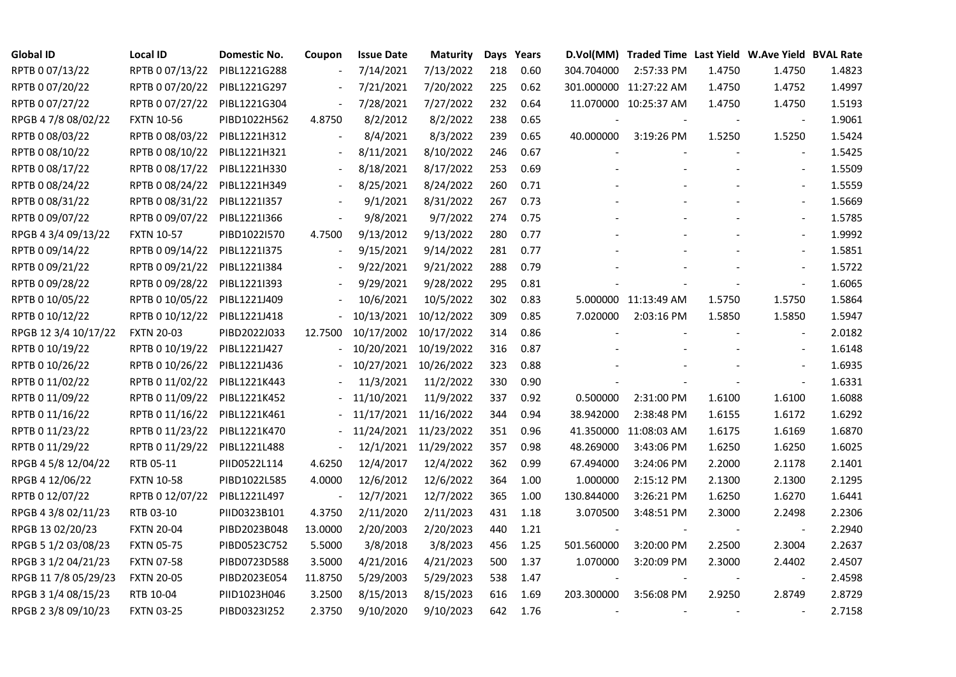| <b>Global ID</b>     | <b>Local ID</b>   | Domestic No. | Coupon  | <b>Issue Date</b> | <b>Maturity</b> |     | Days Years |            | D.Vol(MM) Traded Time Last Yield W.Ave Yield BVAL Rate |        |                          |        |
|----------------------|-------------------|--------------|---------|-------------------|-----------------|-----|------------|------------|--------------------------------------------------------|--------|--------------------------|--------|
| RPTB 0 07/13/22      | RPTB 0 07/13/22   | PIBL1221G288 |         | 7/14/2021         | 7/13/2022       | 218 | 0.60       | 304.704000 | 2:57:33 PM                                             | 1.4750 | 1.4750                   | 1.4823 |
| RPTB 0 07/20/22      | RPTB 0 07/20/22   | PIBL1221G297 |         | 7/21/2021         | 7/20/2022       | 225 | 0.62       |            | 301.000000 11:27:22 AM                                 | 1.4750 | 1.4752                   | 1.4997 |
| RPTB 0 07/27/22      | RPTB 0 07/27/22   | PIBL1221G304 |         | 7/28/2021         | 7/27/2022       | 232 | 0.64       |            | 11.070000 10:25:37 AM                                  | 1.4750 | 1.4750                   | 1.5193 |
| RPGB 4 7/8 08/02/22  | <b>FXTN 10-56</b> | PIBD1022H562 | 4.8750  | 8/2/2012          | 8/2/2022        | 238 | 0.65       |            |                                                        |        |                          | 1.9061 |
| RPTB 0 08/03/22      | RPTB 0 08/03/22   | PIBL1221H312 |         | 8/4/2021          | 8/3/2022        | 239 | 0.65       | 40.000000  | 3:19:26 PM                                             | 1.5250 | 1.5250                   | 1.5424 |
| RPTB 0 08/10/22      | RPTB 0 08/10/22   | PIBL1221H321 |         | 8/11/2021         | 8/10/2022       | 246 | 0.67       |            |                                                        |        |                          | 1.5425 |
| RPTB 0 08/17/22      | RPTB 0 08/17/22   | PIBL1221H330 |         | 8/18/2021         | 8/17/2022       | 253 | 0.69       |            |                                                        |        | $\overline{\phantom{a}}$ | 1.5509 |
| RPTB 0 08/24/22      | RPTB 0 08/24/22   | PIBL1221H349 |         | 8/25/2021         | 8/24/2022       | 260 | 0.71       |            |                                                        |        |                          | 1.5559 |
| RPTB 0 08/31/22      | RPTB 0 08/31/22   | PIBL1221I357 |         | 9/1/2021          | 8/31/2022       | 267 | 0.73       |            |                                                        |        |                          | 1.5669 |
| RPTB 0 09/07/22      | RPTB 0 09/07/22   | PIBL1221I366 |         | 9/8/2021          | 9/7/2022        | 274 | 0.75       |            |                                                        |        | $\blacksquare$           | 1.5785 |
| RPGB 4 3/4 09/13/22  | <b>FXTN 10-57</b> | PIBD1022I570 | 4.7500  | 9/13/2012         | 9/13/2022       | 280 | 0.77       |            |                                                        |        | $\overline{a}$           | 1.9992 |
| RPTB 0 09/14/22      | RPTB 0 09/14/22   | PIBL1221I375 |         | 9/15/2021         | 9/14/2022       | 281 | 0.77       |            |                                                        |        | $\sim$                   | 1.5851 |
| RPTB 0 09/21/22      | RPTB 0 09/21/22   | PIBL1221I384 |         | 9/22/2021         | 9/21/2022       | 288 | 0.79       |            |                                                        |        | $\blacksquare$           | 1.5722 |
| RPTB 0 09/28/22      | RPTB 0 09/28/22   | PIBL1221I393 |         | 9/29/2021         | 9/28/2022       | 295 | 0.81       |            |                                                        |        | $\blacksquare$           | 1.6065 |
| RPTB 0 10/05/22      | RPTB 0 10/05/22   | PIBL1221J409 |         | 10/6/2021         | 10/5/2022       | 302 | 0.83       |            | 5.000000 11:13:49 AM                                   | 1.5750 | 1.5750                   | 1.5864 |
| RPTB 0 10/12/22      | RPTB 0 10/12/22   | PIBL1221J418 |         | 10/13/2021        | 10/12/2022      | 309 | 0.85       | 7.020000   | 2:03:16 PM                                             | 1.5850 | 1.5850                   | 1.5947 |
| RPGB 12 3/4 10/17/22 | <b>FXTN 20-03</b> | PIBD2022J033 | 12.7500 | 10/17/2002        | 10/17/2022      | 314 | 0.86       |            |                                                        |        | $\overline{\phantom{a}}$ | 2.0182 |
| RPTB 0 10/19/22      | RPTB 0 10/19/22   | PIBL1221J427 |         | 10/20/2021        | 10/19/2022      | 316 | 0.87       |            |                                                        |        | $\blacksquare$           | 1.6148 |
| RPTB 0 10/26/22      | RPTB 0 10/26/22   | PIBL1221J436 |         | 10/27/2021        | 10/26/2022      | 323 | 0.88       |            |                                                        |        |                          | 1.6935 |
| RPTB 0 11/02/22      | RPTB 0 11/02/22   | PIBL1221K443 |         | 11/3/2021         | 11/2/2022       | 330 | 0.90       |            |                                                        |        |                          | 1.6331 |
| RPTB 0 11/09/22      | RPTB 0 11/09/22   | PIBL1221K452 |         | 11/10/2021        | 11/9/2022       | 337 | 0.92       | 0.500000   | 2:31:00 PM                                             | 1.6100 | 1.6100                   | 1.6088 |
| RPTB 0 11/16/22      | RPTB 0 11/16/22   | PIBL1221K461 |         | 11/17/2021        | 11/16/2022      | 344 | 0.94       | 38.942000  | 2:38:48 PM                                             | 1.6155 | 1.6172                   | 1.6292 |
| RPTB 0 11/23/22      | RPTB 0 11/23/22   | PIBL1221K470 |         | 11/24/2021        | 11/23/2022      | 351 | 0.96       |            | 41.350000 11:08:03 AM                                  | 1.6175 | 1.6169                   | 1.6870 |
| RPTB 0 11/29/22      | RPTB 0 11/29/22   | PIBL1221L488 |         | 12/1/2021         | 11/29/2022      | 357 | 0.98       | 48.269000  | 3:43:06 PM                                             | 1.6250 | 1.6250                   | 1.6025 |
| RPGB 4 5/8 12/04/22  | RTB 05-11         | PIID0522L114 | 4.6250  | 12/4/2017         | 12/4/2022       | 362 | 0.99       | 67.494000  | 3:24:06 PM                                             | 2.2000 | 2.1178                   | 2.1401 |
| RPGB 4 12/06/22      | <b>FXTN 10-58</b> | PIBD1022L585 | 4.0000  | 12/6/2012         | 12/6/2022       | 364 | 1.00       | 1.000000   | 2:15:12 PM                                             | 2.1300 | 2.1300                   | 2.1295 |
| RPTB 0 12/07/22      | RPTB 0 12/07/22   | PIBL1221L497 |         | 12/7/2021         | 12/7/2022       | 365 | 1.00       | 130.844000 | 3:26:21 PM                                             | 1.6250 | 1.6270                   | 1.6441 |
| RPGB 4 3/8 02/11/23  | RTB 03-10         | PIID0323B101 | 4.3750  | 2/11/2020         | 2/11/2023       | 431 | 1.18       | 3.070500   | 3:48:51 PM                                             | 2.3000 | 2.2498                   | 2.2306 |
| RPGB 13 02/20/23     | <b>FXTN 20-04</b> | PIBD2023B048 | 13.0000 | 2/20/2003         | 2/20/2023       | 440 | 1.21       |            |                                                        |        | $\overline{\phantom{a}}$ | 2.2940 |
| RPGB 5 1/2 03/08/23  | <b>FXTN 05-75</b> | PIBD0523C752 | 5.5000  | 3/8/2018          | 3/8/2023        | 456 | 1.25       | 501.560000 | 3:20:00 PM                                             | 2.2500 | 2.3004                   | 2.2637 |
| RPGB 3 1/2 04/21/23  | <b>FXTN 07-58</b> | PIBD0723D588 | 3.5000  | 4/21/2016         | 4/21/2023       | 500 | 1.37       | 1.070000   | 3:20:09 PM                                             | 2.3000 | 2.4402                   | 2.4507 |
| RPGB 11 7/8 05/29/23 | <b>FXTN 20-05</b> | PIBD2023E054 | 11.8750 | 5/29/2003         | 5/29/2023       | 538 | 1.47       |            |                                                        |        | $\blacksquare$           | 2.4598 |
| RPGB 3 1/4 08/15/23  | RTB 10-04         | PIID1023H046 | 3.2500  | 8/15/2013         | 8/15/2023       | 616 | 1.69       | 203.300000 | 3:56:08 PM                                             | 2.9250 | 2.8749                   | 2.8729 |
| RPGB 2 3/8 09/10/23  | <b>FXTN 03-25</b> | PIBD0323I252 | 2.3750  | 9/10/2020         | 9/10/2023       | 642 | 1.76       |            |                                                        |        |                          | 2.7158 |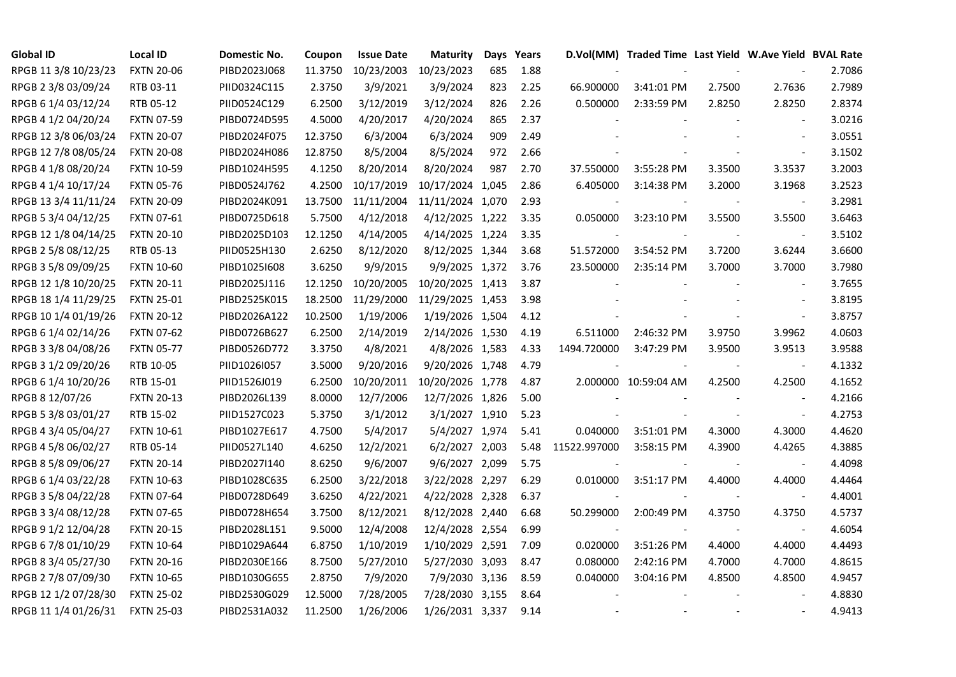| <b>Global ID</b>     | <b>Local ID</b>   | Domestic No. | Coupon  | <b>Issue Date</b> | <b>Maturity</b>  |     | Days Years |              | D.Vol(MM) Traded Time Last Yield W.Ave Yield BVAL Rate |        |                          |        |
|----------------------|-------------------|--------------|---------|-------------------|------------------|-----|------------|--------------|--------------------------------------------------------|--------|--------------------------|--------|
| RPGB 11 3/8 10/23/23 | <b>FXTN 20-06</b> | PIBD2023J068 | 11.3750 | 10/23/2003        | 10/23/2023       | 685 | 1.88       |              |                                                        |        |                          | 2.7086 |
| RPGB 2 3/8 03/09/24  | RTB 03-11         | PIID0324C115 | 2.3750  | 3/9/2021          | 3/9/2024         | 823 | 2.25       | 66.900000    | 3:41:01 PM                                             | 2.7500 | 2.7636                   | 2.7989 |
| RPGB 6 1/4 03/12/24  | RTB 05-12         | PIID0524C129 | 6.2500  | 3/12/2019         | 3/12/2024        | 826 | 2.26       | 0.500000     | 2:33:59 PM                                             | 2.8250 | 2.8250                   | 2.8374 |
| RPGB 4 1/2 04/20/24  | <b>FXTN 07-59</b> | PIBD0724D595 | 4.5000  | 4/20/2017         | 4/20/2024        | 865 | 2.37       |              |                                                        |        | $\blacksquare$           | 3.0216 |
| RPGB 12 3/8 06/03/24 | <b>FXTN 20-07</b> | PIBD2024F075 | 12.3750 | 6/3/2004          | 6/3/2024         | 909 | 2.49       |              |                                                        |        | $\sim$                   | 3.0551 |
| RPGB 12 7/8 08/05/24 | <b>FXTN 20-08</b> | PIBD2024H086 | 12.8750 | 8/5/2004          | 8/5/2024         | 972 | 2.66       |              |                                                        |        | $\sim$                   | 3.1502 |
| RPGB 4 1/8 08/20/24  | <b>FXTN 10-59</b> | PIBD1024H595 | 4.1250  | 8/20/2014         | 8/20/2024        | 987 | 2.70       | 37.550000    | 3:55:28 PM                                             | 3.3500 | 3.3537                   | 3.2003 |
| RPGB 4 1/4 10/17/24  | <b>FXTN 05-76</b> | PIBD0524J762 | 4.2500  | 10/17/2019        | 10/17/2024 1,045 |     | 2.86       | 6.405000     | 3:14:38 PM                                             | 3.2000 | 3.1968                   | 3.2523 |
| RPGB 13 3/4 11/11/24 | <b>FXTN 20-09</b> | PIBD2024K091 | 13.7500 | 11/11/2004        | 11/11/2024 1,070 |     | 2.93       |              |                                                        |        |                          | 3.2981 |
| RPGB 5 3/4 04/12/25  | <b>FXTN 07-61</b> | PIBD0725D618 | 5.7500  | 4/12/2018         | 4/12/2025 1,222  |     | 3.35       | 0.050000     | 3:23:10 PM                                             | 3.5500 | 3.5500                   | 3.6463 |
| RPGB 12 1/8 04/14/25 | <b>FXTN 20-10</b> | PIBD2025D103 | 12.1250 | 4/14/2005         | 4/14/2025 1,224  |     | 3.35       |              |                                                        |        | $\overline{\phantom{a}}$ | 3.5102 |
| RPGB 2 5/8 08/12/25  | RTB 05-13         | PIID0525H130 | 2.6250  | 8/12/2020         | 8/12/2025 1,344  |     | 3.68       | 51.572000    | 3:54:52 PM                                             | 3.7200 | 3.6244                   | 3.6600 |
| RPGB 3 5/8 09/09/25  | <b>FXTN 10-60</b> | PIBD10251608 | 3.6250  | 9/9/2015          | 9/9/2025 1,372   |     | 3.76       | 23.500000    | 2:35:14 PM                                             | 3.7000 | 3.7000                   | 3.7980 |
| RPGB 12 1/8 10/20/25 | <b>FXTN 20-11</b> | PIBD2025J116 | 12.1250 | 10/20/2005        | 10/20/2025 1,413 |     | 3.87       |              |                                                        |        |                          | 3.7655 |
| RPGB 18 1/4 11/29/25 | <b>FXTN 25-01</b> | PIBD2525K015 | 18.2500 | 11/29/2000        | 11/29/2025 1,453 |     | 3.98       |              |                                                        |        |                          | 3.8195 |
| RPGB 10 1/4 01/19/26 | <b>FXTN 20-12</b> | PIBD2026A122 | 10.2500 | 1/19/2006         | 1/19/2026 1,504  |     | 4.12       |              |                                                        |        | $\blacksquare$           | 3.8757 |
| RPGB 6 1/4 02/14/26  | <b>FXTN 07-62</b> | PIBD0726B627 | 6.2500  | 2/14/2019         | 2/14/2026 1,530  |     | 4.19       | 6.511000     | 2:46:32 PM                                             | 3.9750 | 3.9962                   | 4.0603 |
| RPGB 3 3/8 04/08/26  | <b>FXTN 05-77</b> | PIBD0526D772 | 3.3750  | 4/8/2021          | 4/8/2026 1,583   |     | 4.33       | 1494.720000  | 3:47:29 PM                                             | 3.9500 | 3.9513                   | 3.9588 |
| RPGB 3 1/2 09/20/26  | RTB 10-05         | PIID1026I057 | 3.5000  | 9/20/2016         | 9/20/2026 1,748  |     | 4.79       |              |                                                        |        | $\overline{\phantom{a}}$ | 4.1332 |
| RPGB 6 1/4 10/20/26  | RTB 15-01         | PIID1526J019 | 6.2500  | 10/20/2011        | 10/20/2026 1,778 |     | 4.87       |              | 2.000000 10:59:04 AM                                   | 4.2500 | 4.2500                   | 4.1652 |
| RPGB 8 12/07/26      | <b>FXTN 20-13</b> | PIBD2026L139 | 8.0000  | 12/7/2006         | 12/7/2026 1,826  |     | 5.00       |              |                                                        |        |                          | 4.2166 |
| RPGB 5 3/8 03/01/27  | RTB 15-02         | PIID1527C023 | 5.3750  | 3/1/2012          | 3/1/2027 1,910   |     | 5.23       |              |                                                        |        | $\overline{\phantom{a}}$ | 4.2753 |
| RPGB 4 3/4 05/04/27  | <b>FXTN 10-61</b> | PIBD1027E617 | 4.7500  | 5/4/2017          | 5/4/2027 1,974   |     | 5.41       | 0.040000     | 3:51:01 PM                                             | 4.3000 | 4.3000                   | 4.4620 |
| RPGB 4 5/8 06/02/27  | RTB 05-14         | PIID0527L140 | 4.6250  | 12/2/2021         | 6/2/2027 2,003   |     | 5.48       | 11522.997000 | 3:58:15 PM                                             | 4.3900 | 4.4265                   | 4.3885 |
| RPGB 8 5/8 09/06/27  | <b>FXTN 20-14</b> | PIBD2027I140 | 8.6250  | 9/6/2007          | 9/6/2027 2,099   |     | 5.75       |              |                                                        |        | $\overline{\phantom{a}}$ | 4.4098 |
| RPGB 6 1/4 03/22/28  | <b>FXTN 10-63</b> | PIBD1028C635 | 6.2500  | 3/22/2018         | 3/22/2028 2,297  |     | 6.29       | 0.010000     | 3:51:17 PM                                             | 4.4000 | 4.4000                   | 4.4464 |
| RPGB 3 5/8 04/22/28  | <b>FXTN 07-64</b> | PIBD0728D649 | 3.6250  | 4/22/2021         | 4/22/2028 2,328  |     | 6.37       |              |                                                        |        | $\overline{\phantom{a}}$ | 4.4001 |
| RPGB 3 3/4 08/12/28  | <b>FXTN 07-65</b> | PIBD0728H654 | 3.7500  | 8/12/2021         | 8/12/2028 2,440  |     | 6.68       | 50.299000    | 2:00:49 PM                                             | 4.3750 | 4.3750                   | 4.5737 |
| RPGB 9 1/2 12/04/28  | <b>FXTN 20-15</b> | PIBD2028L151 | 9.5000  | 12/4/2008         | 12/4/2028 2,554  |     | 6.99       |              |                                                        |        | $\sim$                   | 4.6054 |
| RPGB 6 7/8 01/10/29  | <b>FXTN 10-64</b> | PIBD1029A644 | 6.8750  | 1/10/2019         | 1/10/2029 2,591  |     | 7.09       | 0.020000     | 3:51:26 PM                                             | 4.4000 | 4.4000                   | 4.4493 |
| RPGB 8 3/4 05/27/30  | <b>FXTN 20-16</b> | PIBD2030E166 | 8.7500  | 5/27/2010         | 5/27/2030 3,093  |     | 8.47       | 0.080000     | 2:42:16 PM                                             | 4.7000 | 4.7000                   | 4.8615 |
| RPGB 2 7/8 07/09/30  | <b>FXTN 10-65</b> | PIBD1030G655 | 2.8750  | 7/9/2020          | 7/9/2030 3,136   |     | 8.59       | 0.040000     | 3:04:16 PM                                             | 4.8500 | 4.8500                   | 4.9457 |
| RPGB 12 1/2 07/28/30 | <b>FXTN 25-02</b> | PIBD2530G029 | 12.5000 | 7/28/2005         | 7/28/2030 3,155  |     | 8.64       |              |                                                        |        |                          | 4.8830 |
| RPGB 11 1/4 01/26/31 | <b>FXTN 25-03</b> | PIBD2531A032 | 11.2500 | 1/26/2006         | 1/26/2031 3,337  |     | 9.14       |              |                                                        |        |                          | 4.9413 |